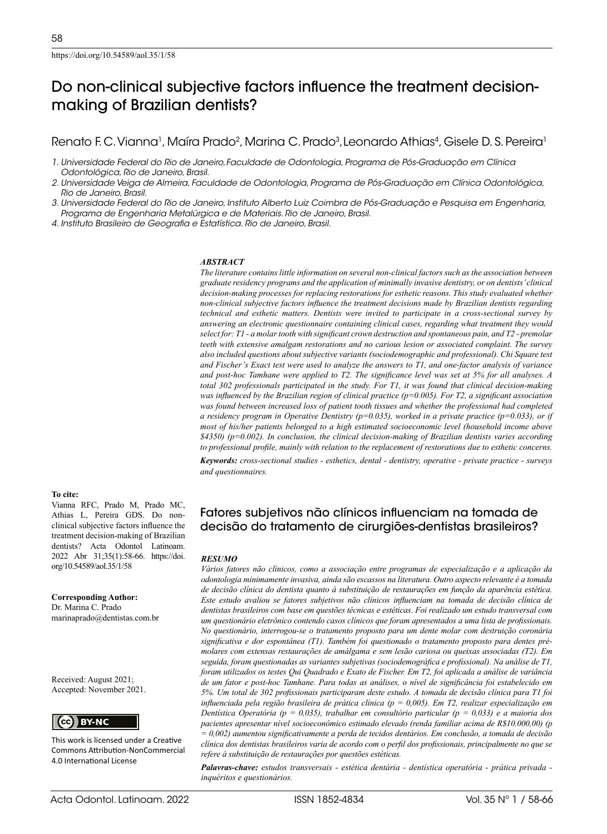# Do non-clinical subjective factors influence the treatment decisionmaking of Brazilian dentists?

Renato F. C. Vianna<sup>1</sup>, Maíra Prado<sup>2</sup>, Marina C. Prado<sup>3</sup>, Leonardo Athias<sup>4</sup>, Gisele D. S. Pereira<sup>1</sup>

- *1. Universidade Federal do Rio de Janeiro,Faculdade de Odontologia, Programa de Pós-Graduação em Clínica Odontológica, Rio de Janeiro, Brasil.*
- *2. Universidade Veiga de Almeira, Faculdade de Odontologia, Programa de Pós-Graduação em Clínica Odontológica, Rio de Janeiro, Brasil.*
- *3. Universidade Federal do Rio de Janeiro, Instituto Alberto Luiz Coimbra de Pós-Graduação e Pesquisa em Engenharia, Programa de Engenharia Metalúrgica e de Materiais. Rio de Janeiro, Brasil.*

*4. Instituto Brasileiro de Geografia e Estatística. Rio de Janeiro, Brasil.*

#### *ABSTRACT*

*The literature contains little information on several non-clinical factors such as the association between graduate residency programs and the application of minimally invasive dentistry, or on dentists' clinical decision-making processes for replacing restorations for esthetic reasons. This study evaluated whether non-clinical subjective factors influence the treatment decisions made by Brazilian dentists regarding technical and esthetic matters. Dentists were invited to participate in a cross-sectional survey by answering an electronic questionnaire containing clinical cases, regarding what treatment they would select for: T1 - a molar tooth with significant crown destruction and spontaneous pain, and T2 - premolar teeth with extensive amalgam restorations and no carious lesion or associated complaint. The survey also included questions about subjective variants (sociodemographic and professional). Chi Square test and Fischer's Exact test were used to analyze the answers to T1, and one-factor analysis of variance and post-hoc Tamhane were applied to T2. The significance level was set at 5% for all analyses. A total 302 professionals participated in the study. For T1, it was found that clinical decision-making was influenced by the Brazilian region of clinical practice (p=0.005). For T2, a significant association was found between increased loss of patient tooth tissues and whether the professional had completed a residency program in Operative Dentistry (p=0.035), worked in a private practice (p=0.033), or if most of his/her patients belonged to a high estimated socioeconomic level (household income above \$4350) (p=0.002). In conclusion, the clinical decision-making of Brazilian dentists varies according to professional profile, mainly with relation to the replacement of restorations due to esthetic concerns.*

*Keywords: cross-sectional studies - esthetics, dental - dentistry, operative - private practice - surveys and questionnaires.*

#### **To cite:**

Vianna RFC, Prado M, Prado MC, Athias L, Pereira GDS. Do nonclinical subjective factors influence the treatment decision-making of Brazilian dentists? Acta Odontol Latinoam. 2022 Abr 31;35(1):58-66. https://doi. org/10.54589/aol.35/1/58

**Corresponding Author:** Dr. Marina C. Prado [marinaprado@dentistas.com.br](mailto:marinaprado@dentistas.com.br)

Received: August 2021; Accepted: November 2021.

**CC** BY-NC

This work is licensed under a Creative Commons Attribution-NonCommercial 4.0 International License

# Fatores subjetivos não clínicos influenciam na tomada de decisão do tratamento de cirurgiões-dentistas brasileiros?

#### *RESUMO*

*Vários fatores não clínicos, como a associação entre programas de especialização e a aplicação da odontologia minimamente invasiva, ainda são escassos na literatura. Outro aspecto relevante é a tomada de decisão clínica do dentista quanto à substituição de restaurações em função da aparência estética. Este estudo avaliou se fatores subjetivos não clínicos influenciam na tomada de decisão clínica de dentistas brasileiros com base em questões técnicas e estéticas. Foi realizado um estudo transversal com um questionário eletrônico contendo casos clínicos que foram apresentados a uma lista de profissionais. No questionário, interrogou-se o tratamento proposto para um dente molar com destruição coronária significativa e dor espontânea (T1). Também foi questionado o tratamento proposto para dentes prémolares com extensas restaurações de amálgama e sem lesão cariosa ou queixas associadas (T2). Em seguida, foram questionadas as variantes subjetivas (sociodemográfica e profissional). Na análise de T1, foram utilizados os testes Qui Quadrado e Exato de Fischer. Em T2, foi aplicada a análise de variância de um fator e post-hoc Tamhane. Para todas as análises, o nível de significância foi estabelecido em 5%. Um total de 302 profissionais participaram deste estudo. A tomada de decisão clínica para T1 foi influenciada pela região brasileira de prática clínica (p = 0,005). Em T2, realizar especialização em Dentística Operatória (p = 0,035), trabalhar em consultório particular (p = 0,033) e a maioria dos pacientes apresentar nível socioeconômico estimado elevado (renda familiar acima de R\$10.000,00) (p = 0,002) aumentou significativamente a perda de tecidos dentários. Em conclusão, a tomada de decisão clínica dos dentistas brasileiros varia de acordo com o perfil dos profissionais, principalmente no que se refere à substituição de restaurações por questões estéticas.*

*Palavras-chave: estudos transversais - estética dentária - dentística operatória - prática privada inquéritos e questionários.*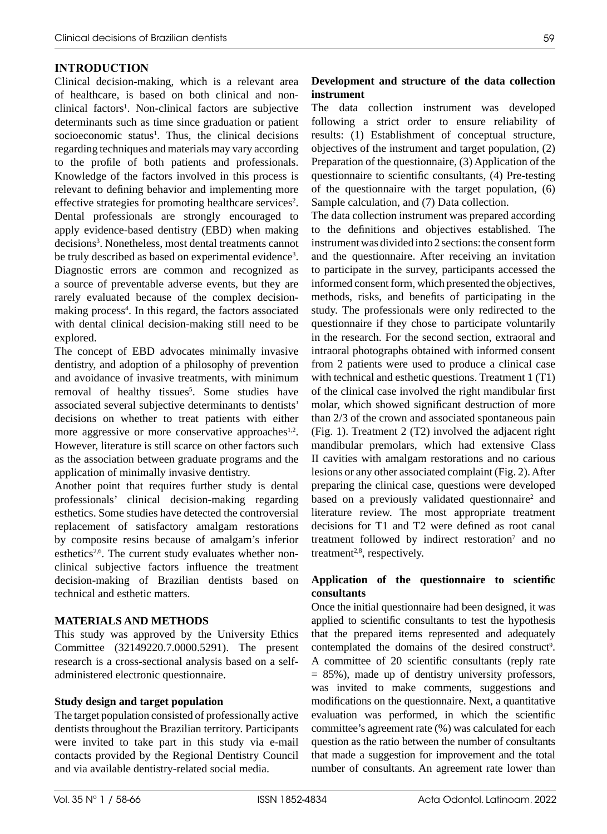# **INTRODUCTION**

Clinical decision-making, which is a relevant area of healthcare, is based on both clinical and nonclinical factors1 . Non-clinical factors are subjective determinants such as time since graduation or patient socioeconomic status<sup>1</sup>. Thus, the clinical decisions regarding techniques and materials may vary according to the profile of both patients and professionals. Knowledge of the factors involved in this process is relevant to defining behavior and implementing more effective strategies for promoting healthcare services<sup>2</sup>. Dental professionals are strongly encouraged to apply evidence-based dentistry (EBD) when making decisions<sup>3</sup>. Nonetheless, most dental treatments cannot be truly described as based on experimental evidence<sup>3</sup>. Diagnostic errors are common and recognized as a source of preventable adverse events, but they are rarely evaluated because of the complex decisionmaking process<sup>4</sup>. In this regard, the factors associated with dental clinical decision-making still need to be explored.

The concept of EBD advocates minimally invasive dentistry, and adoption of a philosophy of prevention and avoidance of invasive treatments, with minimum removal of healthy tissues<sup>5</sup>. Some studies have associated several subjective determinants to dentists' decisions on whether to treat patients with either more aggressive or more conservative approaches $1,2$ . However, literature is still scarce on other factors such as the association between graduate programs and the application of minimally invasive dentistry.

Another point that requires further study is dental professionals' clinical decision-making regarding esthetics. Some studies have detected the controversial replacement of satisfactory amalgam restorations by composite resins because of amalgam's inferior esthetics<sup>2,6</sup>. The current study evaluates whether nonclinical subjective factors influence the treatment decision-making of Brazilian dentists based on technical and esthetic matters.

# **MATERIALS AND METHODS**

This study was approved by the University Ethics Committee (32149220.7.0000.5291). The present research is a cross-sectional analysis based on a selfadministered electronic questionnaire.

# **Study design and target population**

The target population consisted of professionally active dentists throughout the Brazilian territory. Participants were invited to take part in this study via e-mail contacts provided by the Regional Dentistry Council and via available dentistry-related social media.

# **Development and structure of the data collection instrument**

The data collection instrument was developed following a strict order to ensure reliability of results: (1) Establishment of conceptual structure, objectives of the instrument and target population, (2) Preparation of the questionnaire, (3) Application of the questionnaire to scientific consultants, (4) Pre-testing of the questionnaire with the target population, (6) Sample calculation, and (7) Data collection.

The data collection instrument was prepared according to the definitions and objectives established. The instrument was divided into 2 sections: the consent form and the questionnaire. After receiving an invitation to participate in the survey, participants accessed the informed consent form, which presented the objectives, methods, risks, and benefits of participating in the study. The professionals were only redirected to the questionnaire if they chose to participate voluntarily in the research. For the second section, extraoral and intraoral photographs obtained with informed consent from 2 patients were used to produce a clinical case with technical and esthetic questions. Treatment 1 (T1) of the clinical case involved the right mandibular first molar, which showed significant destruction of more than 2/3 of the crown and associated spontaneous pain (Fig. 1). Treatment 2 (T2) involved the adjacent right mandibular premolars, which had extensive Class II cavities with amalgam restorations and no carious lesions or any other associated complaint (Fig. 2). After preparing the clinical case, questions were developed based on a previously validated questionnaire<sup>2</sup> and literature review. The most appropriate treatment decisions for T1 and T2 were defined as root canal treatment followed by indirect restoration<sup>7</sup> and no treatment $2,8$ , respectively.

# **Application of the questionnaire to scientific consultants**

Once the initial questionnaire had been designed, it was applied to scientific consultants to test the hypothesis that the prepared items represented and adequately contemplated the domains of the desired construct<sup>9</sup>. A committee of 20 scientific consultants (reply rate = 85%), made up of dentistry university professors, was invited to make comments, suggestions and modifications on the questionnaire. Next, a quantitative evaluation was performed, in which the scientific committee's agreement rate (%) was calculated for each question as the ratio between the number of consultants that made a suggestion for improvement and the total number of consultants. An agreement rate lower than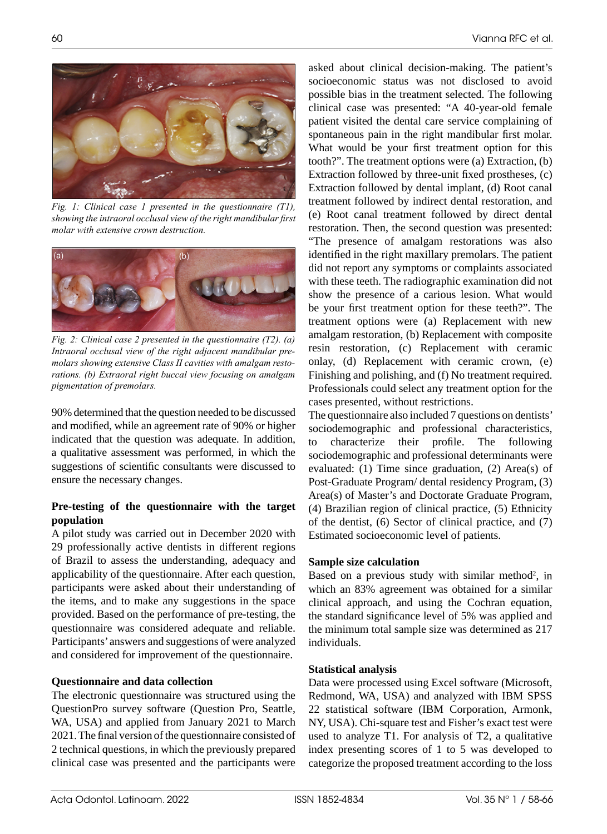

*Fig. 1: Clinical case 1 presented in the questionnaire (T1), showing the intraoral occlusal view of the right mandibular first molar with extensive crown destruction.* 



*Fig. 2: Clinical case 2 presented in the questionnaire (T2). (a) Intraoral occlusal view of the right adjacent mandibular premolars showing extensive Class II cavities with amalgam restorations. (b) Extraoral right buccal view focusing on amalgam pigmentation of premolars.*

90% determined that the question needed to be discussed and modified, while an agreement rate of 90% or higher indicated that the question was adequate. In addition, a qualitative assessment was performed, in which the suggestions of scientific consultants were discussed to ensure the necessary changes.

# **Pre-testing of the questionnaire with the target population**

A pilot study was carried out in December 2020 with 29 professionally active dentists in different regions of Brazil to assess the understanding, adequacy and applicability of the questionnaire. After each question, participants were asked about their understanding of the items, and to make any suggestions in the space provided. Based on the performance of pre-testing, the questionnaire was considered adequate and reliable. Participants' answers and suggestions of were analyzed and considered for improvement of the questionnaire.

# **Questionnaire and data collection**

The electronic questionnaire was structured using the QuestionPro survey software (Question Pro, Seattle, WA, USA) and applied from January 2021 to March 2021. The final version of the questionnaire consisted of 2 technical questions, in which the previously prepared clinical case was presented and the participants were

asked about clinical decision-making. The patient's socioeconomic status was not disclosed to avoid possible bias in the treatment selected. The following clinical case was presented: "A 40-year-old female patient visited the dental care service complaining of spontaneous pain in the right mandibular first molar. What would be your first treatment option for this tooth?". The treatment options were (a) Extraction, (b) Extraction followed by three-unit fixed prostheses, (c) Extraction followed by dental implant, (d) Root canal treatment followed by indirect dental restoration, and (e) Root canal treatment followed by direct dental restoration. Then, the second question was presented: "The presence of amalgam restorations was also identified in the right maxillary premolars. The patient did not report any symptoms or complaints associated with these teeth. The radiographic examination did not show the presence of a carious lesion. What would be your first treatment option for these teeth?". The treatment options were (a) Replacement with new amalgam restoration, (b) Replacement with composite resin restoration, (c) Replacement with ceramic onlay, (d) Replacement with ceramic crown, (e) Finishing and polishing, and (f) No treatment required. Professionals could select any treatment option for the cases presented, without restrictions.

The questionnaire also included 7 questions on dentists' sociodemographic and professional characteristics, to characterize their profile. The following sociodemographic and professional determinants were evaluated: (1) Time since graduation, (2) Area(s) of Post-Graduate Program/ dental residency Program, (3) Area(s) of Master's and Doctorate Graduate Program, (4) Brazilian region of clinical practice, (5) Ethnicity of the dentist, (6) Sector of clinical practice, and (7) Estimated socioeconomic level of patients.

### **Sample size calculation**

Based on a previous study with similar method<sup>2</sup>, in which an 83% agreement was obtained for a similar clinical approach, and using the Cochran equation, the standard significance level of 5% was applied and the minimum total sample size was determined as 217 individuals.

### **Statistical analysis**

Data were processed using Excel software (Microsoft, Redmond, WA, USA) and analyzed with IBM SPSS 22 statistical software (IBM Corporation, Armonk, NY, USA). Chi-square test and Fisher's exact test were used to analyze T1. For analysis of T2, a qualitative index presenting scores of 1 to 5 was developed to categorize the proposed treatment according to the loss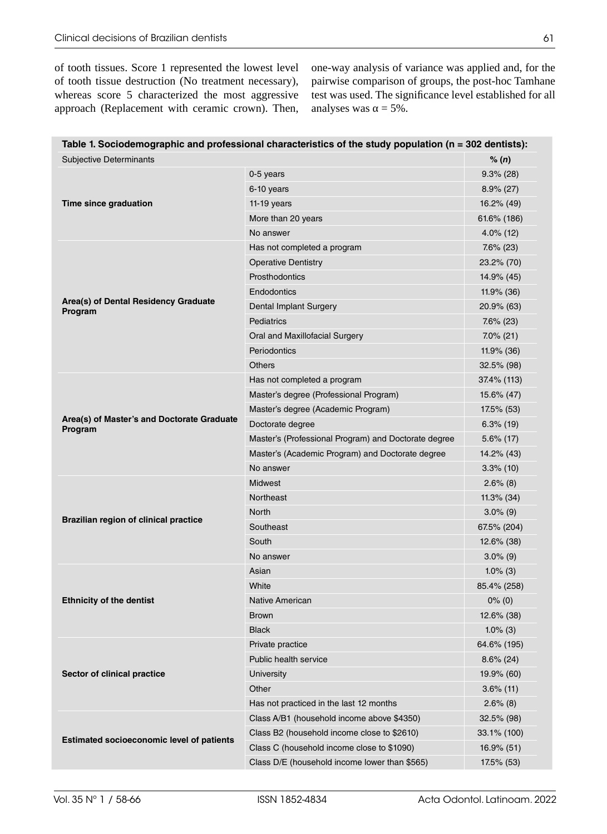of tooth tissues. Score 1 represented the lowest level of tooth tissue destruction (No treatment necessary), whereas score 5 characterized the most aggressive approach (Replacement with ceramic crown). Then,

one-way analysis of variance was applied and, for the pairwise comparison of groups, the post-hoc Tamhane test was used. The significance level established for all analyses was  $\alpha = 5\%$ .

| <b>Subjective Determinants</b>                        |                                                      | % (n)         |
|-------------------------------------------------------|------------------------------------------------------|---------------|
|                                                       | 0-5 years                                            | $9.3\%$ (28)  |
| Time since graduation                                 | 6-10 years                                           | $8.9\%$ (27)  |
|                                                       | $11-19$ years                                        | 16.2% (49)    |
|                                                       | More than 20 years                                   | 61.6% (186)   |
|                                                       | No answer                                            | $4.0\%$ (12)  |
|                                                       | Has not completed a program                          | $7.6\%$ (23)  |
|                                                       | <b>Operative Dentistry</b>                           | 23.2% (70)    |
|                                                       | Prosthodontics                                       | 14.9% (45)    |
|                                                       | Endodontics                                          | 11.9% (36)    |
| Area(s) of Dental Residency Graduate<br>Program       | Dental Implant Surgery                               | 20.9% (63)    |
|                                                       | Pediatrics                                           | 7.6% (23)     |
|                                                       | Oral and Maxillofacial Surgery                       | $7.0\%$ (21)  |
|                                                       | Periodontics                                         | 11.9% (36)    |
|                                                       | <b>Others</b>                                        | $32.5\%$ (98) |
|                                                       | Has not completed a program                          | 37.4% (113)   |
|                                                       | Master's degree (Professional Program)               | 15.6% (47)    |
|                                                       | Master's degree (Academic Program)                   | 17.5% (53)    |
| Area(s) of Master's and Doctorate Graduate<br>Program | Doctorate degree                                     | $6.3\%$ (19)  |
|                                                       | Master's (Professional Program) and Doctorate degree | $5.6\%$ (17)  |
|                                                       | Master's (Academic Program) and Doctorate degree     | 14.2% (43)    |
|                                                       | No answer                                            | $3.3\%$ (10)  |
|                                                       | Midwest                                              | $2.6\%$ (8)   |
|                                                       | Northeast                                            | $11.3\%$ (34) |
|                                                       | North                                                | $3.0\%$ (9)   |
| Brazilian region of clinical practice                 | Southeast                                            | 67.5% (204)   |
|                                                       | South                                                | 12.6% (38)    |
|                                                       | No answer                                            | $3.0\%$ (9)   |
|                                                       | Asian                                                | $1.0\%$ (3)   |
|                                                       | White                                                | 85.4% (258)   |
| <b>Ethnicity of the dentist</b>                       | Native American                                      | $0\%$ (0)     |
|                                                       | <b>Brown</b>                                         | 12.6% (38)    |
|                                                       | Black                                                | $1.0\%$ (3)   |
|                                                       | Private practice                                     | 64.6% (195)   |
|                                                       | <b>Public health service</b>                         | $8.6\%$ (24)  |
| Sector of clinical practice                           | University                                           | 19.9% (60)    |
|                                                       | Other                                                | $3.6\%$ (11)  |
|                                                       | Has not practiced in the last 12 months              | $2.6\%$ (8)   |
|                                                       | Class A/B1 (household income above \$4350)           | 32.5% (98)    |
|                                                       | Class B2 (household income close to \$2610)          | 33.1% (100)   |
| <b>Estimated socioeconomic level of patients</b>      | Class C (household income close to \$1090)           | $16.9\%$ (51) |
|                                                       | Class D/E (household income lower than \$565)        | 17.5% (53)    |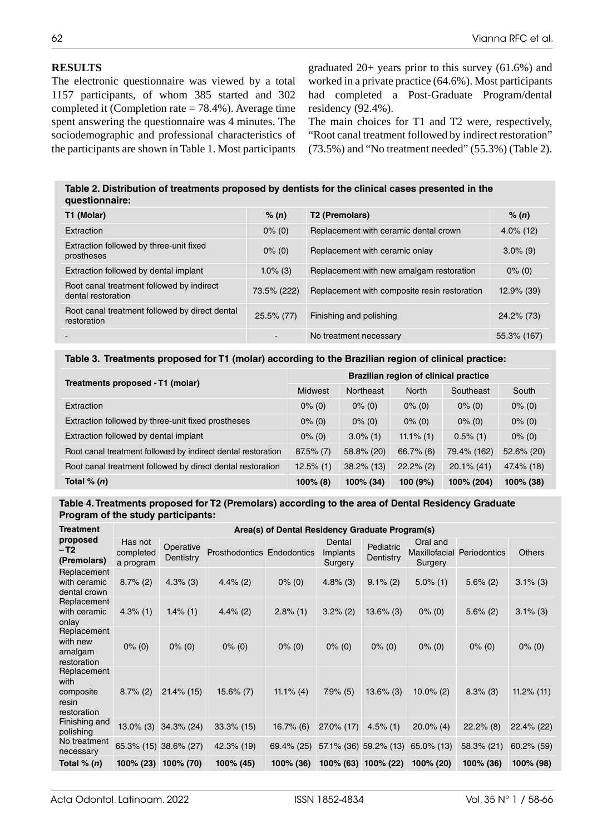# **RESULTS**

The electronic questionnaire was viewed by a total 1157 participants, of whom 385 started and 302 completed it (Completion rate = 78.4%). Average time spent answering the questionnaire was 4 minutes. The sociodemographic and professional characteristics of the participants are shown in Table 1. Most participants graduated 20+ years prior to this survey (61.6%) and worked in a private practice (64.6%). Most participants had completed a Post-Graduate Program/dental residency (92.4%).

The main choices for T1 and T2 were, respectively, "Root canal treatment followed by indirect restoration" (73.5%) and "No treatment needed" (55.3%) (Table 2).

| Table 2. Distribution of treatments proposed by dentists for the clinical cases presented in the |
|--------------------------------------------------------------------------------------------------|
| questionnaire:                                                                                   |

| T1 (Molar)                                                      | % (n)         | T <sub>2</sub> (Premolars)                   | % $(n)$      |
|-----------------------------------------------------------------|---------------|----------------------------------------------|--------------|
| Extraction                                                      | $0\%$ (0)     | Replacement with ceramic dental crown        | $4.0\%$ (12) |
| Extraction followed by three-unit fixed<br>prostheses           | $0\%$ (0)     | Replacement with ceramic onlay               | $3.0\%$ (9)  |
| Extraction followed by dental implant                           | $1.0\%$ (3)   | Replacement with new amalgam restoration     | $0\%$ (0)    |
| Root canal treatment followed by indirect<br>dental restoration | 73.5% (222)   | Replacement with composite resin restoration | 12.9% (39)   |
| Root canal treatment followed by direct dental<br>restoration   | $25.5\%$ (77) | Finishing and polishing                      | 24.2% (73)   |
|                                                                 |               | No treatment necessary                       | 55.3% (167)  |

#### **Table 3. Treatments proposed for T1 (molar) according to the Brazilian region of clinical practice:**

| Treatments proposed - T1 (molar)                             | Brazilian region of clinical practice |               |              |               |            |  |  |
|--------------------------------------------------------------|---------------------------------------|---------------|--------------|---------------|------------|--|--|
|                                                              | Midwest                               | Northeast     | <b>North</b> | Southeast     | South      |  |  |
| Extraction                                                   | $0\%$ (0)                             | $0\%$ (0)     | $0\%$ (0)    | $0\%$ (0)     | $0\%$ (0)  |  |  |
| Extraction followed by three-unit fixed prostheses           | $0\%$ (0)                             | $0\%$ (0)     | $0\%$ (0)    | $0\%$ (0)     | $0\%$ (0)  |  |  |
| Extraction followed by dental implant                        | $0\%$ (0)                             | $3.0\%$ (1)   | $11.1\%$ (1) | $0.5\%$ (1)   | $0\%$ (0)  |  |  |
| Root canal treatment followed by indirect dental restoration | $87.5\%$ (7)                          | 58.8% (20)    | $66.7\%$ (6) | 79.4% (162)   | 52.6% (20) |  |  |
| Root canal treatment followed by direct dental restoration   | $12.5\%$ (1)                          | $38.2\%$ (13) | $22.2\%$ (2) | $20.1\%$ (41) | 47.4% (18) |  |  |
| Total $% (n)$                                                | $100\%$ (8)                           | 100% (34)     | 100(9%)      | 100% (204)    | 100% (38)  |  |  |

#### **Table 4. Treatments proposed for T2 (Premolars) according to the area of Dental Residency Graduate Program of the study participants:**

| <b>Treatment</b>                                         | Area(s) of Dental Residency Graduate Program(s) |                           |                            |              |                               |                           |                     |                                   |               |
|----------------------------------------------------------|-------------------------------------------------|---------------------------|----------------------------|--------------|-------------------------------|---------------------------|---------------------|-----------------------------------|---------------|
| proposed<br>– T2<br>(Premolars)                          | Has not<br>completed<br>a program               | Operative<br>Dentistry    | Prosthodontics Endodontics |              | Dental<br>Implants<br>Surgery | Pediatric<br>Dentistry    | Oral and<br>Surgery | <b>Maxillofacial Periodontics</b> | <b>Others</b> |
| Replacement<br>with ceramic<br>dental crown              | $8.7\%$ (2)                                     | $4.3\%$ (3)               | $4.4\%$ (2)                | $0\%$ (0)    | $4.8\%$ (3)                   | $9.1\%$ (2)               | $5.0\%$ (1)         | $5.6\%$ (2)                       | $3.1\%$ (3)   |
| Replacement<br>with ceramic<br>onlay                     | $4.3\%$ (1)                                     | $1.4\%$ (1)               | $4.4\%$ (2)                | $2.8\%$ (1)  | $3.2\%$ (2)                   | $13.6\%$ (3)              | $0\%$ (0)           | $5.6\%$ (2)                       | $3.1\%$ (3)   |
| Replacement<br>with new<br>amalgam<br>restoration        | $0\%$ (0)                                       | $0\%$ (0)                 | $0\%$ (0)                  | $0\%$ (0)    | $0\%$ (0)                     | $0\%$ (0)                 | $0\%$ (0)           | $0\%$ (0)                         | $0\%$ (0)     |
| Replacement<br>with<br>composite<br>resin<br>restoration | $8.7\%$ (2)                                     | $21.4\%$ (15)             | $15.6\%$ (7)               | 11.1% $(4)$  | $7.9\%$ (5)                   | $13.6\%$ (3)              | $10.0\%$ (2)        | $8.3\%$ (3)                       | $11.2\%$ (11) |
| Finishing and<br>polishing                               | $13.0\%$ (3)                                    | $34.3\%$ (24)             | $33.3\%$ (15)              | $16.7\%$ (6) | 27.0% (17)                    | $4.5\%$ (1)               | $20.0\%$ (4)        | $22.2\%$ (8)                      | $22.4\%$ (22) |
| No treatment<br>necessary                                | 65.3% (15) 38.6% (27)                           |                           | 42.3% (19)                 | 69.4% (25)   |                               | 57.1% (36) 59.2% (13)     | 65.0% (13)          | 58.3% (21)                        | $60.2\%$ (59) |
| Total % (n)                                              |                                                 | $100\%$ (23) $100\%$ (70) | 100% (45)                  | $100\%$ (36) |                               | $100\%$ (63) $100\%$ (22) | 100% (20)           | 100% (36)                         | 100% (98)     |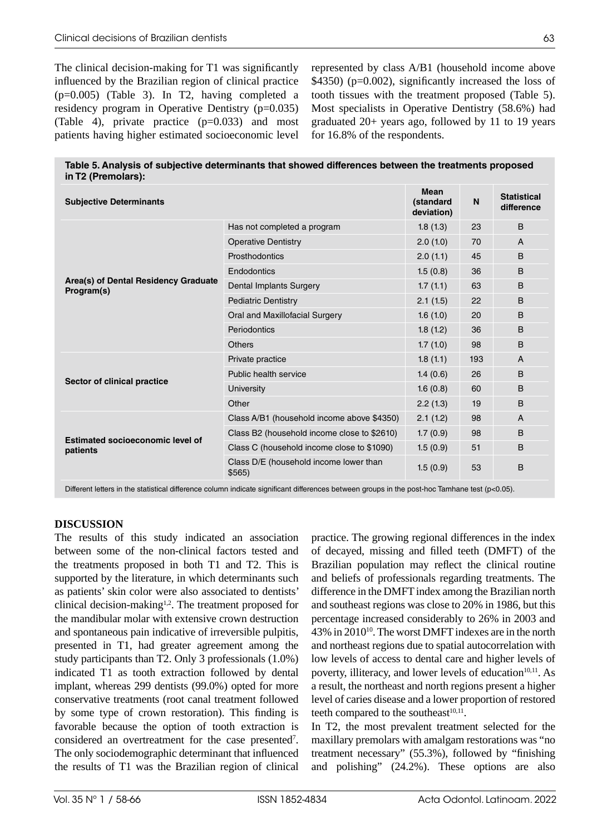represented by class A/B1 (household income above \$4350) (p=0.002), significantly increased the loss of tooth tissues with the treatment proposed (Table 5). Most specialists in Operative Dentistry (58.6%) had graduated 20+ years ago, followed by 11 to 19 years for 16.8% of the respondents.

| Table 5. Analysis of subjective determinants that showed differences between the treatments proposed |  |
|------------------------------------------------------------------------------------------------------|--|
| in T2 (Premolars):                                                                                   |  |

| <b>Subjective Determinants</b>                      |                                                  | <b>Mean</b><br>(standard<br>deviation) | N   | <b>Statistical</b><br>difference |
|-----------------------------------------------------|--------------------------------------------------|----------------------------------------|-----|----------------------------------|
|                                                     | Has not completed a program                      | 1.8(1.3)                               | 23  | B                                |
|                                                     | <b>Operative Dentistry</b>                       | 2.0(1.0)                               | 70  | A                                |
|                                                     | Prosthodontics                                   | 2.0(1.1)                               | 45  | B                                |
|                                                     | <b>Endodontics</b>                               | 1.5(0.8)                               | 36  | B                                |
| Area(s) of Dental Residency Graduate<br>Program(s)  | Dental Implants Surgery                          | 1.7(1.1)                               | 63  | B                                |
|                                                     | <b>Pediatric Dentistry</b>                       | 2.1(1.5)                               | 22  | B                                |
|                                                     | Oral and Maxillofacial Surgery                   | 1.6(1.0)                               | 20  | B                                |
|                                                     | <b>Periodontics</b>                              | 1.8(1.2)                               | 36  | B                                |
|                                                     | <b>Others</b>                                    | 1.7(1.0)                               | 98  | B                                |
|                                                     | Private practice                                 | 1.8(1.1)                               | 193 | A                                |
|                                                     | Public health service                            | 1.4(0.6)                               | 26  | B                                |
| Sector of clinical practice                         | <b>University</b>                                | 1.6(0.8)                               | 60  | B                                |
|                                                     | Other                                            | 2.2(1.3)                               | 19  | B                                |
| <b>Estimated socioeconomic level of</b><br>patients | Class A/B1 (household income above \$4350)       | 2.1(1.2)                               | 98  | A                                |
|                                                     | Class B2 (household income close to \$2610)      | 1.7(0.9)                               | 98  | B                                |
|                                                     | Class C (household income close to \$1090)       | 1.5(0.9)                               | 51  | B                                |
|                                                     | Class D/E (household income lower than<br>\$565) | 1.5(0.9)                               | 53  | B                                |

Different letters in the statistical difference column indicate significant differences between groups in the post-hoc Tamhane test (p<0.05).

# **DISCUSSION**

The results of this study indicated an association between some of the non-clinical factors tested and the treatments proposed in both T1 and T2. This is supported by the literature, in which determinants such as patients' skin color were also associated to dentists' clinical decision-making<sup>1,2</sup>. The treatment proposed for the mandibular molar with extensive crown destruction and spontaneous pain indicative of irreversible pulpitis, presented in T1, had greater agreement among the study participants than T2. Only 3 professionals (1.0%) indicated T1 as tooth extraction followed by dental implant, whereas 299 dentists (99.0%) opted for more conservative treatments (root canal treatment followed by some type of crown restoration). This finding is favorable because the option of tooth extraction is considered an overtreatment for the case presented<sup>7</sup>. The only sociodemographic determinant that influenced the results of T1 was the Brazilian region of clinical

practice. The growing regional differences in the index of decayed, missing and filled teeth (DMFT) of the Brazilian population may reflect the clinical routine and beliefs of professionals regarding treatments. The difference in the DMFT index among the Brazilian north and southeast regions was close to 20% in 1986, but this percentage increased considerably to 26% in 2003 and 43% in 2010<sup>10</sup>. The worst DMFT indexes are in the north and northeast regions due to spatial autocorrelation with low levels of access to dental care and higher levels of poverty, illiteracy, and lower levels of education $10,11$ . As a result, the northeast and north regions present a higher level of caries disease and a lower proportion of restored teeth compared to the southeast $10,11$ .

In T2, the most prevalent treatment selected for the maxillary premolars with amalgam restorations was "no treatment necessary" (55.3%), followed by "finishing and polishing" (24.2%). These options are also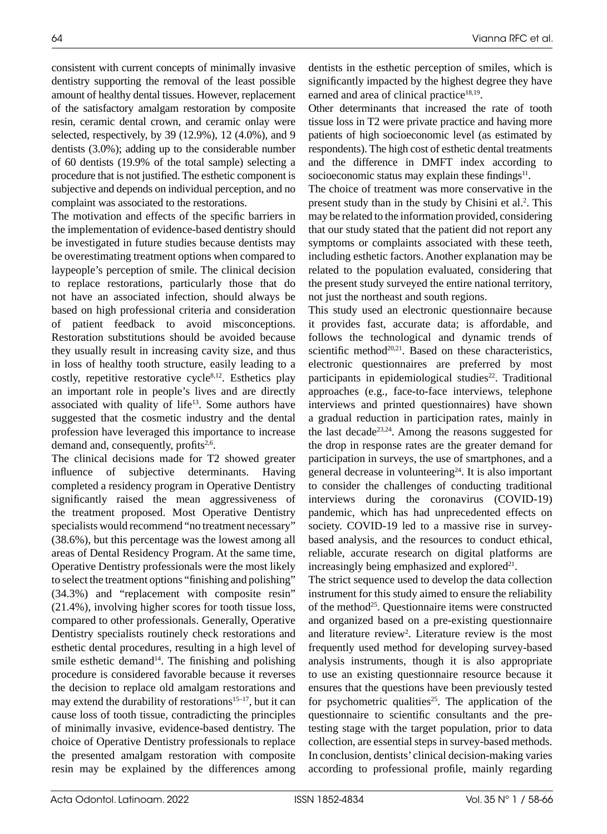consistent with current concepts of minimally invasive dentistry supporting the removal of the least possible amount of healthy dental tissues. However, replacement of the satisfactory amalgam restoration by composite resin, ceramic dental crown, and ceramic onlay were selected, respectively, by 39 (12.9%), 12 (4.0%), and 9 dentists (3.0%); adding up to the considerable number of 60 dentists (19.9% of the total sample) selecting a procedure that is not justified. The esthetic component is subjective and depends on individual perception, and no complaint was associated to the restorations.

The motivation and effects of the specific barriers in the implementation of evidence-based dentistry should be investigated in future studies because dentists may be overestimating treatment options when compared to laypeople's perception of smile. The clinical decision to replace restorations, particularly those that do not have an associated infection, should always be based on high professional criteria and consideration of patient feedback to avoid misconceptions. Restoration substitutions should be avoided because they usually result in increasing cavity size, and thus in loss of healthy tooth structure, easily leading to a costly, repetitive restorative cycle<sup>8,12</sup>. Esthetics play an important role in people's lives and are directly associated with quality of life<sup>13</sup>. Some authors have suggested that the cosmetic industry and the dental profession have leveraged this importance to increase demand and, consequently, profits<sup>2,6</sup>.

The clinical decisions made for T2 showed greater influence of subjective determinants. Having completed a residency program in Operative Dentistry significantly raised the mean aggressiveness of the treatment proposed. Most Operative Dentistry specialists would recommend "no treatment necessary" (38.6%), but this percentage was the lowest among all areas of Dental Residency Program. At the same time, Operative Dentistry professionals were the most likely to select the treatment options "finishing and polishing" (34.3%) and "replacement with composite resin" (21.4%), involving higher scores for tooth tissue loss, compared to other professionals. Generally, Operative Dentistry specialists routinely check restorations and esthetic dental procedures, resulting in a high level of smile esthetic demand $14$ . The finishing and polishing procedure is considered favorable because it reverses the decision to replace old amalgam restorations and may extend the durability of restorations $15-17$ , but it can cause loss of tooth tissue, contradicting the principles of minimally invasive, evidence-based dentistry. The choice of Operative Dentistry professionals to replace the presented amalgam restoration with composite resin may be explained by the differences among

dentists in the esthetic perception of smiles, which is significantly impacted by the highest degree they have earned and area of clinical practice<sup>18,19</sup>.

Other determinants that increased the rate of tooth tissue loss in T2 were private practice and having more patients of high socioeconomic level (as estimated by respondents). The high cost of esthetic dental treatments and the difference in DMFT index according to socioeconomic status may explain these findings $11$ .

The choice of treatment was more conservative in the present study than in the study by Chisini et al.<sup>2</sup>. This may be related to the information provided, considering that our study stated that the patient did not report any symptoms or complaints associated with these teeth, including esthetic factors. Another explanation may be related to the population evaluated, considering that the present study surveyed the entire national territory, not just the northeast and south regions.

This study used an electronic questionnaire because it provides fast, accurate data; is affordable, and follows the technological and dynamic trends of scientific method $20,21$ . Based on these characteristics, electronic questionnaires are preferred by most participants in epidemiological studies<sup>22</sup>. Traditional approaches (e.g., face-to-face interviews, telephone interviews and printed questionnaires) have shown a gradual reduction in participation rates, mainly in the last decade<sup>23,24</sup>. Among the reasons suggested for the drop in response rates are the greater demand for participation in surveys, the use of smartphones, and a general decrease in volunteering<sup>24</sup>. It is also important to consider the challenges of conducting traditional interviews during the coronavirus (COVID-19) pandemic, which has had unprecedented effects on society. COVID-19 led to a massive rise in surveybased analysis, and the resources to conduct ethical, reliable, accurate research on digital platforms are increasingly being emphasized and explored $21$ .

The strict sequence used to develop the data collection instrument for this study aimed to ensure the reliability of the method<sup>25</sup>. Questionnaire items were constructed and organized based on a pre-existing questionnaire and literature review<sup>2</sup>. Literature review is the most frequently used method for developing survey-based analysis instruments, though it is also appropriate to use an existing questionnaire resource because it ensures that the questions have been previously tested for psychometric qualities<sup>25</sup>. The application of the questionnaire to scientific consultants and the pretesting stage with the target population, prior to data collection, are essential steps in survey-based methods. In conclusion, dentists' clinical decision-making varies according to professional profile, mainly regarding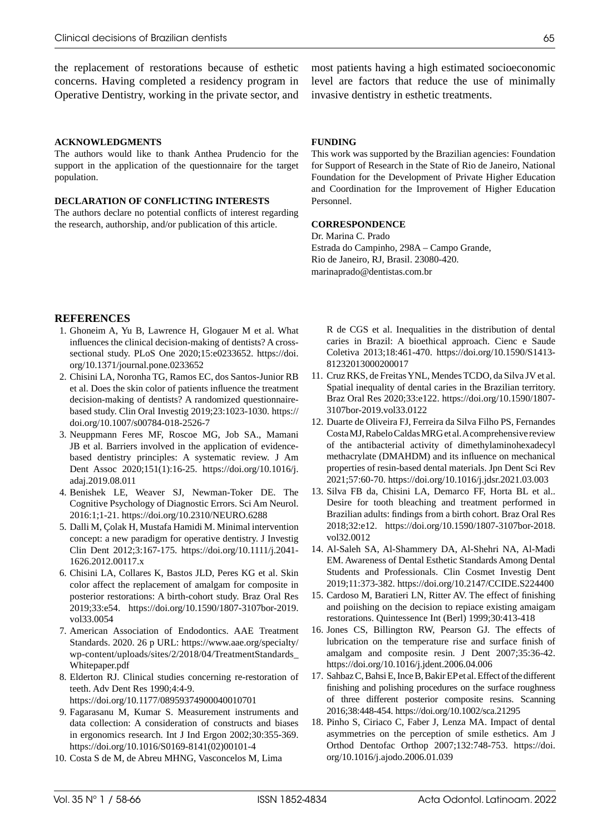the replacement of restorations because of esthetic concerns. Having completed a residency program in Operative Dentistry, working in the private sector, and

#### **ACKNOWLEDGMENTS**

The authors would like to thank Anthea Prudencio for the support in the application of the questionnaire for the target population.

#### **DECLARATION OF CONFLICTING INTERESTS**

The authors declare no potential conflicts of interest regarding the research, authorship, and/or publication of this article.

most patients having a high estimated socioeconomic level are factors that reduce the use of minimally invasive dentistry in esthetic treatments.

#### **FUNDING**

This work was supported by the Brazilian agencies: Foundation for Support of Research in the State of Rio de Janeiro, National Foundation for the Development of Private Higher Education and Coordination for the Improvement of Higher Education Personnel.

#### **CORRESPONDENCE**

Dr. Marina C. Prado Estrada do Campinho, 298A – Campo Grande, Rio de Janeiro, RJ, Brasil. 23080-420. [marinaprado@dentistas.com.br](mailto:marinaprado@dentistas.com.br)

### **REFERENCES**

- 1. Ghoneim A, Yu B, Lawrence H, Glogauer M et al. What influences the clinical decision-making of dentists? A crosssectional study. PLoS One 2020;15:e0233652.[https://doi.](https://doi.org/10.1371/journal.pone.0233652) [org/10.1371/journal.pone.0233652](https://doi.org/10.1371/journal.pone.0233652)
- 2. Chisini LA, Noronha TG, Ramos EC, dos Santos-Junior RB et al. Does the skin color of patients influence the treatment decision-making of dentists? A randomized questionnairebased study. Clin Oral Investig 2019;23:1023-1030. [https://](https://doi.org/10.1007/s00784-018-2526-7) [doi.org/10.1007/s00784-018-2526-7](https://doi.org/10.1007/s00784-018-2526-7)
- 3. Neuppmann Feres MF, Roscoe MG, Job SA., Mamani JB et al. Barriers involved in the application of evidencebased dentistry principles: A systematic review. J Am Dent Assoc 2020;151(1):16-25[. https://doi.org/10.1016/j.](https://doi.org/10.1016/j.adaj.2019.08.011) [adaj.2019.08.011](https://doi.org/10.1016/j.adaj.2019.08.011)
- 4. Benishek LE, Weaver SJ, Newman-Toker DE. The Cognitive Psychology of Diagnostic Errors. Sci Am Neurol. 2016:1;1-21[. https://doi.org/10.2310/NEURO.6288](https://doi.org/10.2310/NEURO.6288)
- 5. Dalli M, Çolak H, Mustafa Hamidi M. Minimal intervention concept: a new paradigm for operative dentistry. J Investig Clin Dent 2012;3:167-175. [https://doi.org/10.1111/j.2041-](https://doi.org/10.1111/j.2041-1626.2012.00117.x) [1626.2012.00117.x](https://doi.org/10.1111/j.2041-1626.2012.00117.x)
- 6. Chisini LA, Collares K, Bastos JLD, Peres KG et al. Skin color affect the replacement of amalgam for composite in posterior restorations: A birth-cohort study. Braz Oral Res 2019;33:e54[. https://doi.org/10.1590/1807-3107bor-2019.](https://doi.org/10.1590/1807-3107bor-2019.vol33.0054) [vol33.0054](https://doi.org/10.1590/1807-3107bor-2019.vol33.0054)
- 7. American Association of Endodontics. AAE Treatment Standards. 2020. 26 p URL: [https://www.aae.org/specialty/](https://www.aae.org/specialty/wp-content/uploads/sites/2/2018/04/TreatmentStandards_Whitepaper.pdf) [wp-content/uploads/sites/2/2018/04/TreatmentStandards\\_](https://www.aae.org/specialty/wp-content/uploads/sites/2/2018/04/TreatmentStandards_Whitepaper.pdf) [Whitepaper.pdf](https://www.aae.org/specialty/wp-content/uploads/sites/2/2018/04/TreatmentStandards_Whitepaper.pdf)
- 8. Elderton RJ. Clinical studies concerning re-restoration of teeth. Adv Dent Res 1990;4:4-9. <https://doi.org/10.1177/08959374900040010701>
- 9. Fagarasanu M, Kumar S. Measurement instruments and data collection: A consideration of constructs and biases in ergonomics research. Int J Ind Ergon 2002;30:355-369. [https://doi.org/10.1016/S0169-8141\(02\)00101-4](https://doi.org/10.1016/S0169-8141(02)00101-4)
- 10. Costa S de M, de Abreu MHNG, Vasconcelos M, Lima

R de CGS et al. Inequalities in the distribution of dental caries in Brazil: A bioethical approach. Cienc e Saude Coletiva 2013;18:461-470. [https://doi.org/10.1590/S1413-](https://doi.org/10.1590/S1413-81232013000200017) [81232013000200017](https://doi.org/10.1590/S1413-81232013000200017)

- 11. Cruz RKS, de Freitas YNL, Mendes TCDO, da Silva JV et al. Spatial inequality of dental caries in the Brazilian territory. Braz Oral Res 2020;33:e122[. https://doi.org/10.1590/1807-](https://doi.org/10.1590/1807-3107bor-2019.vol33.0122) [3107bor-2019.vol33.0122](https://doi.org/10.1590/1807-3107bor-2019.vol33.0122)
- 12. Duarte de Oliveira FJ, Ferreira da Silva Filho PS, Fernandes Costa MJ, Rabelo Caldas MRG et al. A comprehensive review of the antibacterial activity of dimethylaminohexadecyl methacrylate (DMAHDM) and its influence on mechanical properties of resin-based dental materials. Jpn Dent Sci Rev 2021;57:60-70[. https://doi.org/10.1016/j.jdsr.2021.03.003](https://doi.org/10.1016/j.jdsr.2021.03.003)
- 13. Silva FB da, Chisini LA, Demarco FF, Horta BL et al.. Desire for tooth bleaching and treatment performed in Brazilian adults: findings from a birth cohort. Braz Oral Res 2018;32:e12[. https://doi.org/10.1590/1807-3107bor-2018.](https://doi.org/10.1590/1807-3107bor-2018.vol32.0012) [vol32.0012](https://doi.org/10.1590/1807-3107bor-2018.vol32.0012)
- 14. Al-Saleh SA, Al-Shammery DA, Al-Shehri NA, Al-Madi EM. Awareness of Dental Esthetic Standards Among Dental Students and Professionals. Clin Cosmet Investig Dent 2019;11:373-382.<https://doi.org/10.2147/CCIDE.S224400>
- 15. Cardoso M, Baratieri LN, Ritter AV. The effect of finishing and poiishing on the decision to repiace existing amaigam restorations. Quintessence Int (Berl) 1999;30:413-418
- 16. Jones CS, Billington RW, Pearson GJ. The effects of lubrication on the temperature rise and surface finish of amalgam and composite resin. J Dent 2007;35:36-42. <https://doi.org/10.1016/j.jdent.2006.04.006>
- 17. Sahbaz C, Bahsi E, Ince B, Bakir EP et al. Effect of the different finishing and polishing procedures on the surface roughness of three different posterior composite resins. Scanning 2016;38:448-454[. https://doi.org/10.1002/sca.21295](https://doi.org/10.1002/sca.21295)
- 18. Pinho S, Ciriaco C, Faber J, Lenza MA. Impact of dental asymmetries on the perception of smile esthetics. Am J Orthod Dentofac Orthop 2007;132:748-753[. https://doi.](https://doi.org/10.1016/j.ajodo.2006.01.039) [org/10.1016/j.ajodo.2006.01.039](https://doi.org/10.1016/j.ajodo.2006.01.039)